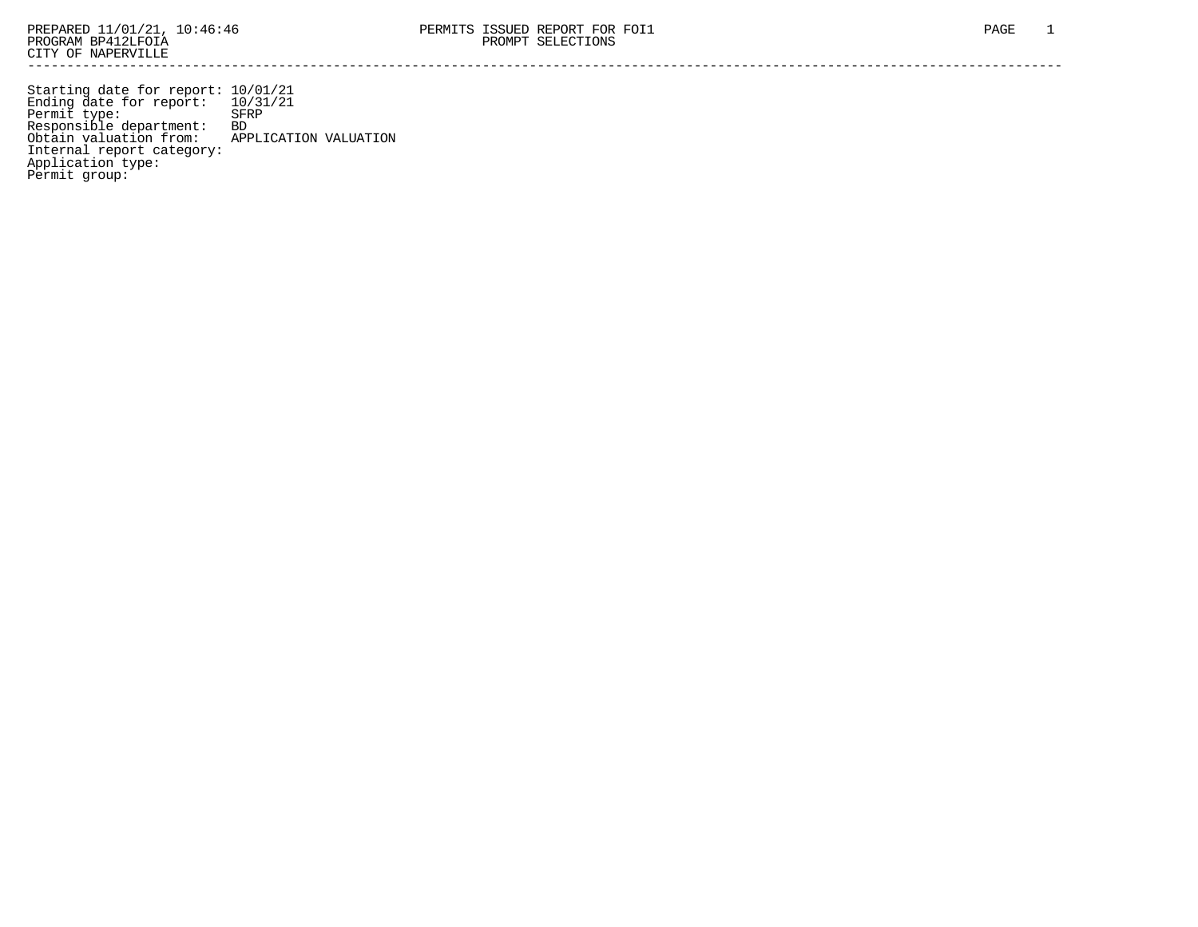Starting date for report: 10/01/21 Ending date for report: 10/31/21 Permit type: SFRP Responsible department: BD Obtain valuation from: APPLICATION VALUATION Internal report category: Application type: Permit group: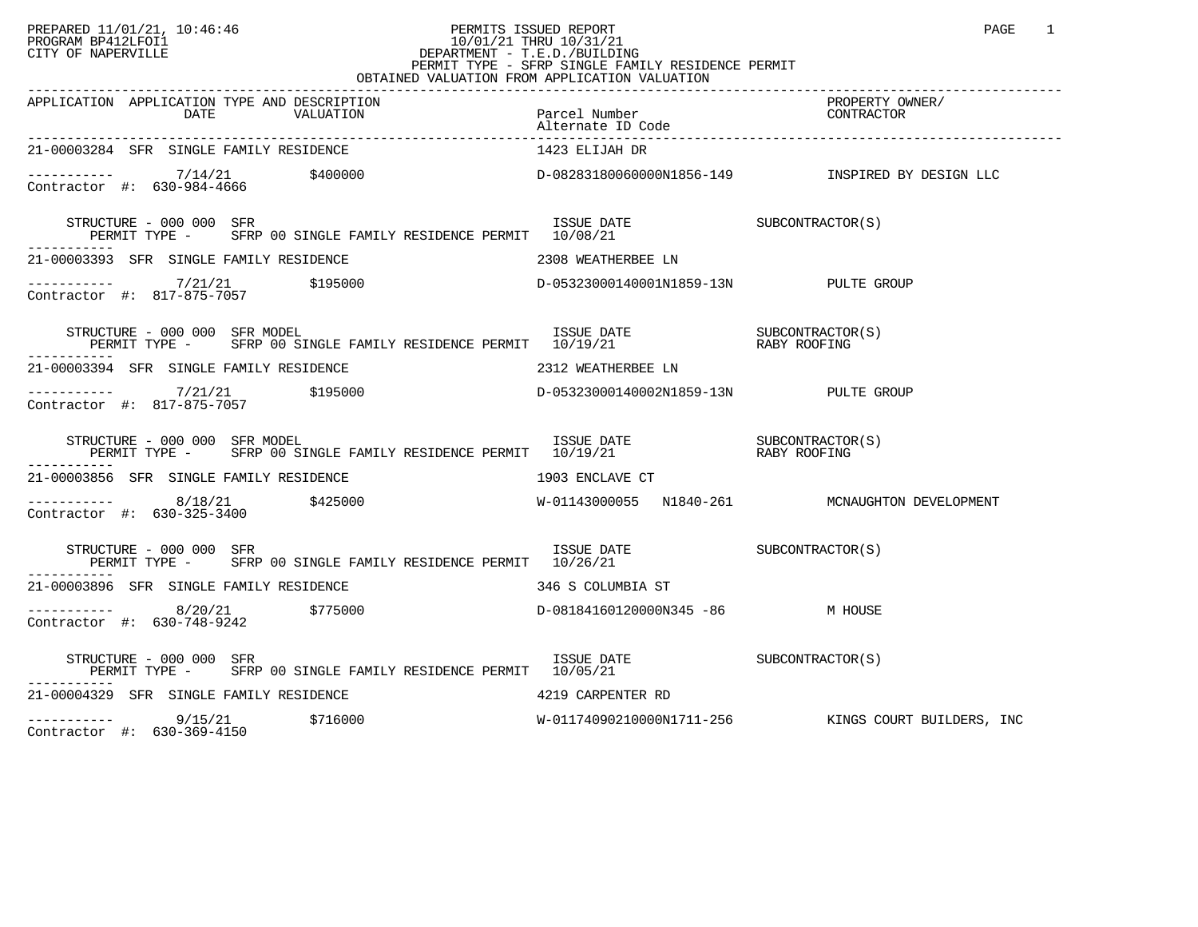## PREPARED 11/01/21, 10:46:46 PERMITS ISSUED REPORT PAGE 1 PROGRAM BP412LFOI1 10/01/21 THRU 10/31/21 CITY OF NAPERVILLE **Example 20** CITY OF NAPERVILLE PERMIT TYPE - SFRP SINGLE FAMILY RESIDENCE PERMIT OBTAINED VALUATION FROM APPLICATION VALUATION

| APPLICATION APPLICATION TYPE AND DESCRIPTION<br>DATE VALUATION Parcel Number<br>Parcel Number<br>-00003284 SER SINCIE EAMILY PROGRAMATION PROPERTION PROPERTY PROPERTY PROGRAMATION                       |                             | PROPERTY OWNER/<br>PRUPERII UN<br>CONTRACTOR        |
|-----------------------------------------------------------------------------------------------------------------------------------------------------------------------------------------------------------|-----------------------------|-----------------------------------------------------|
| 21-00003284 SFR SINGLE FAMILY RESIDENCE                                                                                                                                                                   | 1423 ELIJAH DR              |                                                     |
| ----------- 7/14/21 $$400000$ D-0828318006000001856-149 INSPIRED BY DESIGN LLC<br>Contractor #: 630-984-4666                                                                                              |                             |                                                     |
|                                                                                                                                                                                                           |                             |                                                     |
| 21-00003393 SFR SINGLE FAMILY RESIDENCE<br>2308 WEATHERBEE LN                                                                                                                                             |                             |                                                     |
| ----------- $7/21/21$ $\sharp$ 195000<br>Contractor #: 817-875-7057 $\sharp$ 195000 $D-05323000140001N1859-13N$                                                                                           |                             |                                                     |
| $\begin{array}{cccc} \texttt{STRUCTURE} & - & 000 & 000 & \texttt{SFR MODEL} \\ \texttt{PERMIT TYPE} & - & \texttt{SFRP 00 SINGLE FAMILY RESIDENCE PERMIT} & 10/19/21 & \texttt{RBY ROOFING} \end{array}$ |                             |                                                     |
| 21-00003394 SFR SINGLE FAMILY RESIDENCE THE SAME SERVICE 2312 WEATHERBEE LN                                                                                                                               |                             |                                                     |
|                                                                                                                                                                                                           |                             |                                                     |
| STRUCTURE – 000 000 SFR MODEL (S)<br>PERMIT TYPE – SFRP 00 SINGLE FAMILY RESIDENCE PERMIT 10/19/21 (STABY ROOFING<br>STRUCTURE - 000 000 SFR MODEL                                                        |                             |                                                     |
| 21-00003856 SFR SINGLE FAMILY RESIDENCE                                                                                                                                                                   | 1903 ENCLAVE CT             |                                                     |
|                                                                                                                                                                                                           |                             |                                                     |
| STRUCTURE - 000 000 SFR<br>PERMIT TYPE - SFRP 00 SINGLE FAMILY RESIDENCE PERMIT 10/26/21                                                                                                                  | ISSUE DATE SUBCONTRACTOR(S) |                                                     |
| 21-00003896 SFR SINGLE FAMILY RESIDENCE<br>346 S COLUMBIA ST                                                                                                                                              |                             |                                                     |
| Contractor #: 630-748-9242                                                                                                                                                                                |                             |                                                     |
|                                                                                                                                                                                                           |                             |                                                     |
| 21-00004329 SFR SINGLE FAMILY RESIDENCE 4219 CARPENTER RD                                                                                                                                                 |                             |                                                     |
| $\begin{array}{cccc} - & - & - & - & - - & - & 9/15/21 & 5716000 \\ \text{Contractor} & #: & 630-369-4150 & & & \end{array}$<br>Contractor #: 630-369-4150                                                |                             | W-01174090210000N1711-256 KINGS COURT BUILDERS, INC |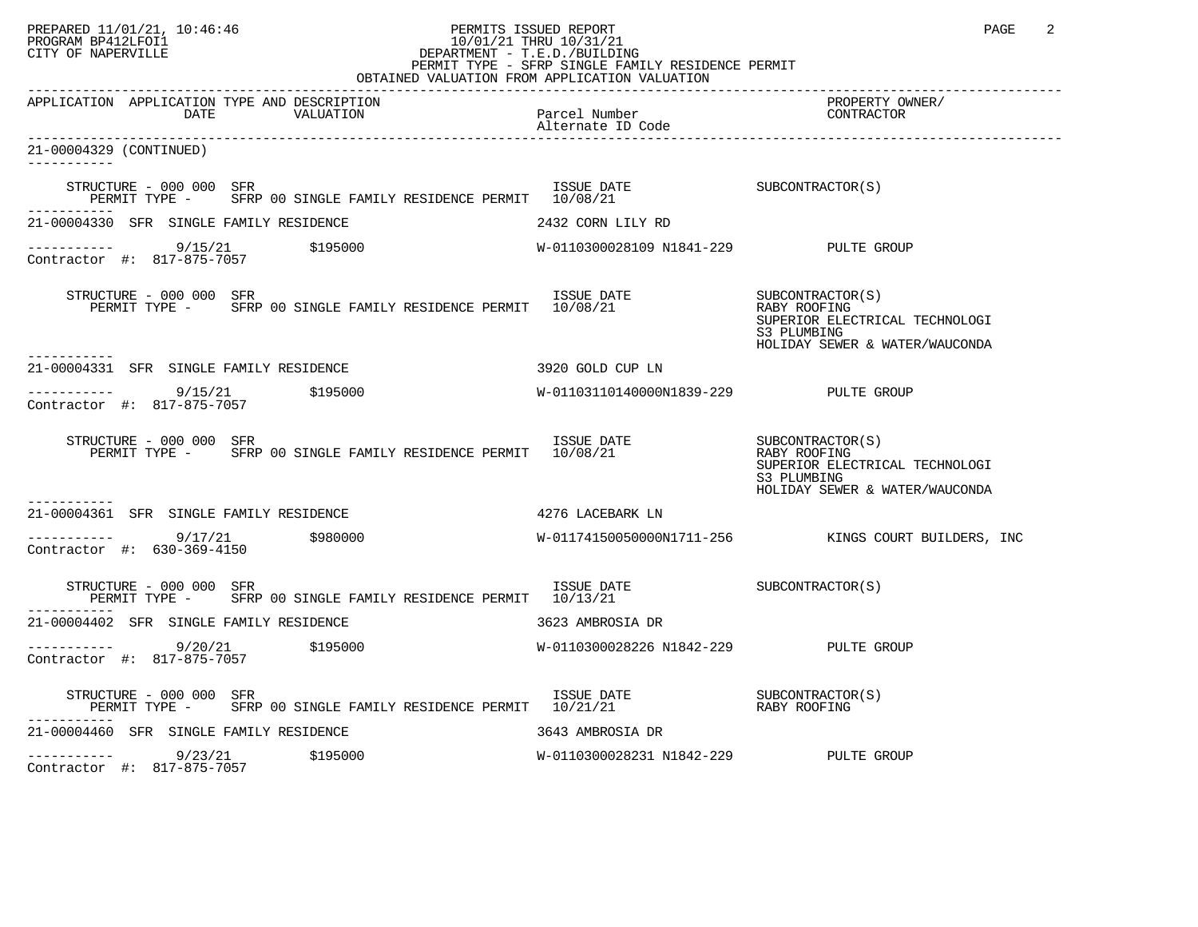## PREPARED 11/01/21, 10:46:46 PERMITS ISSUED REPORT PAGE 2 PROGRAM BP412LFOI1 10/01/21 THRU 10/31/21 CITY OF NAPERVILLE **Example 20** CITY OF NAPERVILLE PERMIT TYPE - SFRP SINGLE FAMILY RESIDENCE PERMIT

| OBTAINED VALUATION FROM APPLICATION VALUATION                                                                                                                                                                                                                                                                                  |                                       |                                                                                                                     |  |
|--------------------------------------------------------------------------------------------------------------------------------------------------------------------------------------------------------------------------------------------------------------------------------------------------------------------------------|---------------------------------------|---------------------------------------------------------------------------------------------------------------------|--|
| APPLICATION APPLICATION TYPE AND DESCRIPTION<br>DATE                                                                                                                                                                                                                                                                           |                                       | PROPERTY OWNER/<br>CONTRACTOR                                                                                       |  |
| 21-00004329 (CONTINUED)<br>-----------                                                                                                                                                                                                                                                                                         |                                       |                                                                                                                     |  |
| STRUCTURE - 000 000 SFR                                                                                                                                                                                                                                                                                                        |                                       |                                                                                                                     |  |
| 21-00004330 SFR SINGLE FAMILY RESIDENCE                                                                                                                                                                                                                                                                                        | 2432 CORN LILY RD                     |                                                                                                                     |  |
|                                                                                                                                                                                                                                                                                                                                |                                       |                                                                                                                     |  |
| STRUCTURE - 000 000 SFR<br>RUCTURE - 000 000 SFR<br>PERMIT TYPE - SFRP 00 SINGLE FAMILY RESIDENCE PERMIT 10/08/21                                                                                                                                                                                                              |                                       | SUBCONTRACTOR(S)<br>RABY ROOFING<br>SUPERIOR ELECTRICAL TECHNOLOGI<br>S3 PLUMBING<br>HOLIDAY SEWER & WATER/WAUCONDA |  |
| -----------<br>21-00004331 SFR SINGLE FAMILY RESIDENCE                                                                                                                                                                                                                                                                         | 3920 GOLD CUP LN                      |                                                                                                                     |  |
| $\frac{1}{1}$ = $\frac{1}{1}$ = $\frac{9}{15/21}$ $\frac{5195000}{1}$<br>Contractor #: 817-875-7057                                                                                                                                                                                                                            | W-01103110140000N1839-229 PULTE GROUP |                                                                                                                     |  |
| STRUCTURE - 000 000 SFR<br>RUCTURE - 000 000 SFR<br>PERMIT TYPE -     SFRP 00 SINGLE FAMILY RESIDENCE PERMIT  10/08/21                                                                                                                                                                                                         |                                       | SUBCONTRACTOR(S)<br>RABY ROOFING<br>SUPERIOR ELECTRICAL TECHNOLOGI<br>S3 PLUMBING<br>HOLIDAY SEWER & WATER/WAUCONDA |  |
| 21-00004361 SFR SINGLE FAMILY RESIDENCE                                                                                                                                                                                                                                                                                        | 4276 LACEBARK LN                      |                                                                                                                     |  |
| 9/17/21 \$980000<br>Contractor #: 630-369-4150                                                                                                                                                                                                                                                                                 |                                       | W-01174150050000N1711-256 KINGS COURT BUILDERS, INC                                                                 |  |
| STRUCTURE - 000 000 SFR<br>PERMIT TYPE - SFRP 00 SINGLE FAMILY RESIDENCE PERMIT 10/13/21                                                                                                                                                                                                                                       | ISSUE DATE SUBCONTRACTOR(S)           |                                                                                                                     |  |
| 21-00004402 SFR SINGLE FAMILY RESIDENCE                                                                                                                                                                                                                                                                                        | 3623 AMBROSIA DR                      |                                                                                                                     |  |
| $\frac{9}{20/21}$ \$195000<br>Contractor #1, 817-875-7057<br>Contractor #: 817-875-7057                                                                                                                                                                                                                                        | W-0110300028226 N1842-229 PULTE GROUP |                                                                                                                     |  |
| $\begin{tabular}{lllllllll} \textbf{STRUCTURE} & 000 000 & SFR & 1SSUE & DATE & 5UBCONTRACTOR(S) \\ \textbf{PERMIT TYPE} & - & SFRP & 00 SINGLE FAMILY RESIDENCE PERMIT & 10/21/21 & 10.21/21 & 10.21/21 & 10.21/21 & 10.21/21 & 10.21/21 & 10.21/21 & 10.21/21 & 10.21/21 & 10.21/21 & 10.21/21 & 10.21/21 & 10.21/21 & 10.2$ |                                       |                                                                                                                     |  |
| 21-00004460 SFR SINGLE FAMILY RESIDENCE                                                                                                                                                                                                                                                                                        | 3643 AMBROSIA DR                      |                                                                                                                     |  |
| $--------$ 9/23/21<br>\$195000<br>Contractor #: 817-875-7057                                                                                                                                                                                                                                                                   | W-0110300028231 N1842-229 PULTE GROUP |                                                                                                                     |  |